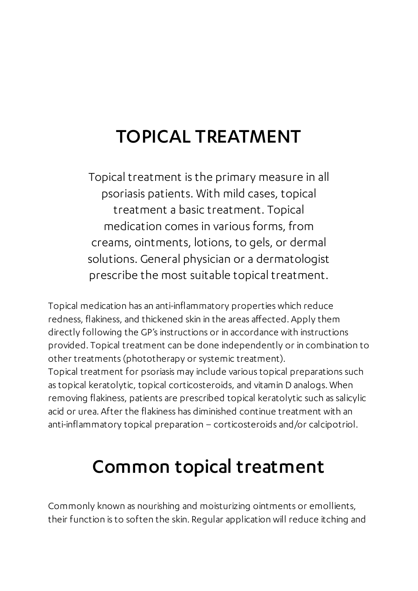## TOPICAL TREATMENT

Topical treatment is the primary measure in all psoriasis patients. With mild cases, topical treatment a basic treatment. Topical medication comes in various forms, from creams, ointments, lotions, to gels, or dermal solutions. General physician or a dermatologist prescribe the most suitable topical treatment.

Topical medication has an anti-inflammatory properties which reduce redness, flakiness, and thickened skin in the areas affected. Apply them directly following the GP's instructions or in accordance with instructions provided. Topical treatment can be done independently or in combination to other treatments (phototherapy or systemic treatment).

Topical treatment for psoriasis may include various topical preparations such as topical keratolytic, topical corticosteroids, and vitamin D analogs. When removing flakiness, patients are prescribed topical keratolytic such as salicylic acid or urea. After the flakiness has diminished continue treatment with an anti-inflammatory topical preparation – corticosteroids and/or calcipotriol.

## Common topical treatment

Commonly known as nourishing and moisturizing ointments or emollients, their function is to soften the skin. Regular application will reduce itching and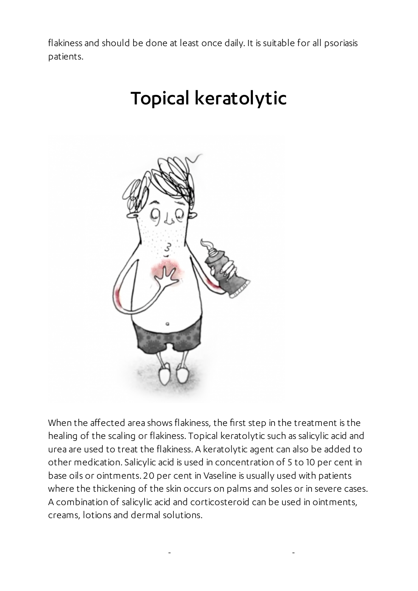flakiness and should be done at least once daily. It is suitable for all psoriasis patients.

# Topical keratolytic



When the affected area shows flakiness, the first step in the treatment is the healing of the scaling or flakiness. Topical keratolytic such as salicylic acid and urea are used to treat the flakiness. A keratolytic agent can also be added to other medication. Salicylic acid is used in concentration of 5 to 10 per cent in base oils or ointments. 20 per cent in Vaseline is usually used with patients where the thickening of the skin occurs on palms and soles or in severe cases. A combination of salicylic acid and corticosteroid can be used in ointments, creams, lotions and dermal solutions.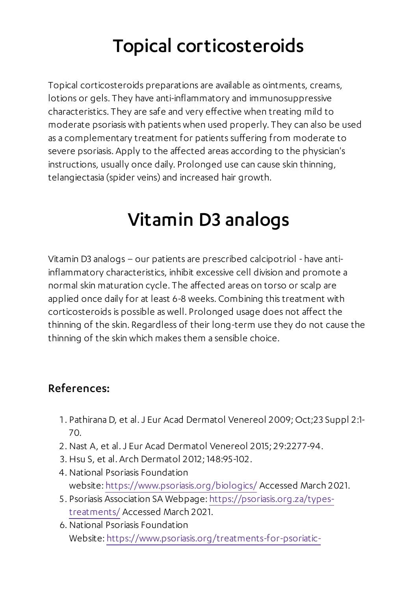# Topical corticosteroids

Topical corticosteroids preparations are available as ointments, creams, lotions or gels. They have anti-inflammatory and immunosuppressive characteristics. They are safe and very effective when treating mild to moderate psoriasis with patients when used properly. They can also be used as a complementary treatment for patients suffering from moderate to severe psoriasis. Apply to the affected areas according to the physician's instructions, usually once daily. Prolonged use can cause skin thinning, telangiectasia (spider veins) and increased hair growth.

## Vitamin D3 analogs

Vitamin D3 analogs – our patients are prescribed calcipotriol - have antiinflammatory characteristics, inhibit excessive cell division and promote a normal skin maturation cycle. The affected areas on torso or scalp are applied once daily for at least 6-8 weeks. Combining this treatment with corticosteroids is possible as well. Prolonged usage does not affect the thinning of the skin. Regardless of their long-term use they do not cause the thinning of the skin which makes them a sensible choice.

#### References:

- . Pathirana D, et al.J Eur Acad Dermatol Venereol 2009; Oct;23 Suppl 2:1- 70.
- . Nast A, et al.J Eur Acad Dermatol Venereol 2015; 29:2277-94.
- . Hsu S, et al. Arch Dermatol 2012; 148:95-102.
- . National Psoriasis Foundation website: <https://www.psoriasis.org/biologics/> Accessed March 2021.
- . Psoriasis Association SA Webpage: [https://psoriasis.org.za/types](https://psoriasis.org.za/types-treatments/)treatments/ Accessed March 2021.
- . National Psoriasis Foundation Website: [https://www.psoriasis.org/treatments-for-psoriatic-](https://www.psoriasis.org/treatments-for-psoriatic-disease/)